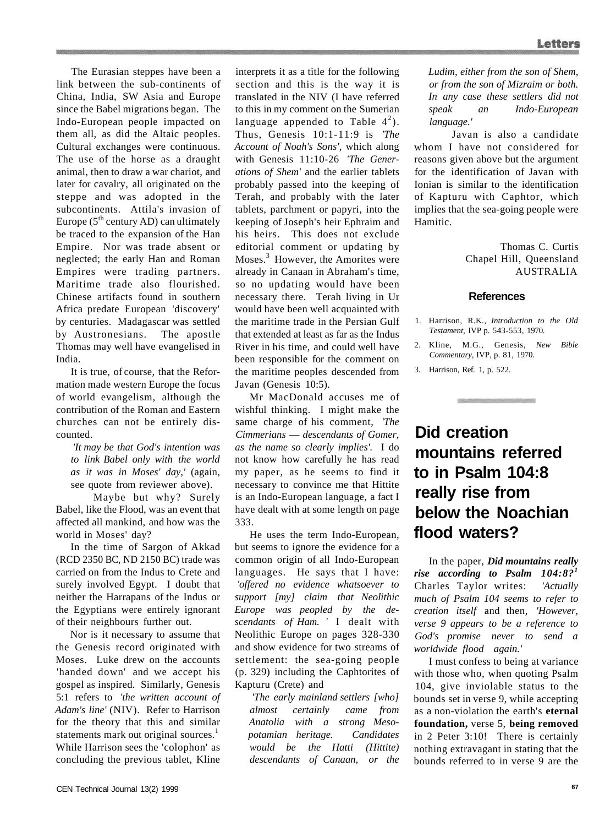The Eurasian steppes have been a link between the sub-continents of China, India, SW Asia and Europe since the Babel migrations began. The Indo-European people impacted on them all, as did the Altaic peoples. Cultural exchanges were continuous. The use of the horse as a draught animal, then to draw a war chariot, and later for cavalry, all originated on the steppe and was adopted in the subcontinents. Attila's invasion of Europe  $(5^{th}$  century AD) can ultimately be traced to the expansion of the Han Empire. Nor was trade absent or neglected; the early Han and Roman Empires were trading partners. Maritime trade also flourished. Chinese artifacts found in southern Africa predate European 'discovery' by centuries. Madagascar was settled by Austronesians. The apostle Thomas may well have evangelised in India.

It is true, of course, that the Reformation made western Europe the focus of world evangelism, although the contribution of the Roman and Eastern churches can not be entirely discounted.

*'It may be that God's intention was to link Babel only with the world as it was in Moses' day,'* (again, see quote from reviewer above).

Maybe but why? Surely Babel, like the Flood, was an event that affected all mankind, and how was the world in Moses' day?

In the time of Sargon of Akkad (RCD 2350 BC, ND 2150 BC) trade was carried on from the Indus to Crete and surely involved Egypt. I doubt that neither the Harrapans of the Indus or the Egyptians were entirely ignorant of their neighbours further out.

Nor is it necessary to assume that the Genesis record originated with Moses. Luke drew on the accounts 'handed down' and we accept his gospel as inspired. Similarly, Genesis 5:1 refers to *'the written account of Adam's line'* (NIV). Refer to Harrison for the theory that this and similar statements mark out original sources.<sup>1</sup> While Harrison sees the 'colophon' as concluding the previous tablet, Kline

interprets it as a title for the following section and this is the way it is translated in the NIV (I have referred to this in my comment on the Sumerian language appended to Table  $4^2$ ). Thus, Genesis 10:1-11:9 is *'The Account of Noah's Sons',* which along with Genesis 11:10-26 *'The Generations of Shem'* and the earlier tablets probably passed into the keeping of Terah, and probably with the later tablets, parchment or papyri, into the keeping of Joseph's heir Ephraim and his heirs. This does not exclude editorial comment or updating by Moses.<sup>3</sup> However, the Amorites were already in Canaan in Abraham's time, so no updating would have been necessary there. Terah living in Ur would have been well acquainted with the maritime trade in the Persian Gulf that extended at least as far as the Indus River in his time, and could well have been responsible for the comment on the maritime peoples descended from Javan (Genesis 10:5).

Mr MacDonald accuses me of wishful thinking. I might make the same charge of his comment, *'The Cimmerians* — *descendants of Gomer, as the name so clearly implies'.* I do not know how carefully he has read my paper, as he seems to find it necessary to convince me that Hittite is an Indo-European language, a fact I have dealt with at some length on page 333.

He uses the term Indo-European, but seems to ignore the evidence for a common origin of all Indo-European languages. He says that I have: *'offered no evidence whatsoever to support [my] claim that Neolithic Europe was peopled by the descendants of Ham. '* I dealt with Neolithic Europe on pages 328-330 and show evidence for two streams of settlement: the sea-going people (p. 329) including the Caphtorites of Kapturu (Crete) and

*'The early mainland settlers [who] almost certainly came from Anatolia with a strong Mesopotamian heritage. Candidates would be the Hatti (Hittite) descendants of Canaan, or the* 

*Ludim, either from the son of Shem, or from the son of Mizraim or both. In any case these settlers did not speak an Indo-European language.'* 

Javan is also a candidate whom I have not considered for reasons given above but the argument for the identification of Javan with Ionian is similar to the identification of Kapturu with Caphtor, which implies that the sea-going people were Hamitic.

> Thomas C. Curtis Chapel Hill, Queensland AUSTRALIA

### **References**

- 1. Harrison, R.K., *Introduction to the Old Testament,* IVP p. 543-553, 1970.
- 2. Kline, M.G., Genesis, *New Bible Commentary,* IVP, p. 81, 1970.

3. Harrison, Ref. 1, p. 522.

# **Did creation mountains referred to in Psalm 104:8 really rise from below the Noachian flood waters?**

In the paper, *Did mountains really rise according to Psalm 104:8?<sup>1</sup>* Charles Taylor writes: *'Actually much of Psalm 104 seems to refer to creation itself* and then, *'However, verse 9 appears to be a reference to God's promise never to send a worldwide flood again.'* 

I must confess to being at variance with those who, when quoting Psalm 104, give inviolable status to the bounds set in verse 9, while accepting as a non-violation the earth's **eternal foundation,** verse 5, **being removed**  in 2 Peter 3:10! There is certainly nothing extravagant in stating that the bounds referred to in verse 9 are the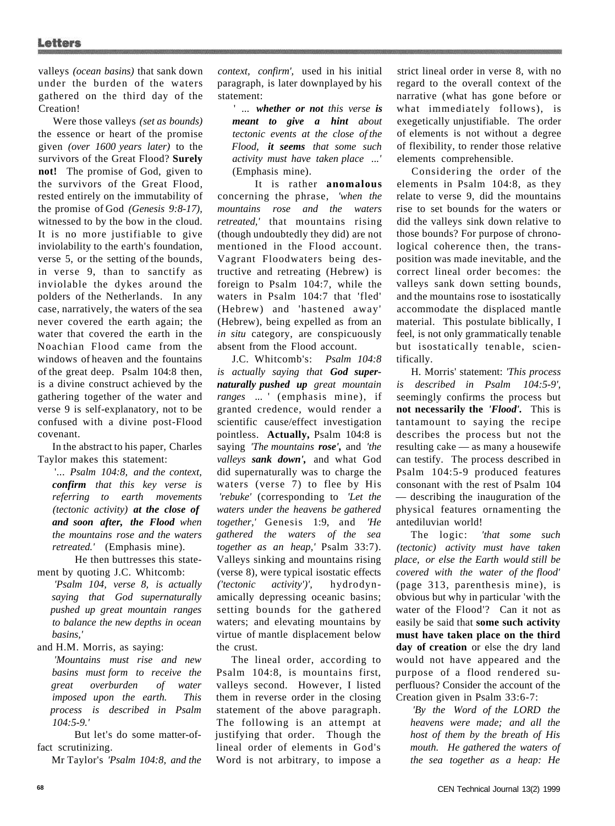valleys *(ocean basins)* that sank down under the burden of the waters gathered on the third day of the Creation!

Were those valleys *(set as bounds)*  the essence or heart of the promise given *(over 1600 years later)* to the survivors of the Great Flood? **Surely not!** The promise of God, given to the survivors of the Great Flood, rested entirely on the immutability of the promise of God *(Genesis 9:8-17),*  witnessed to by the bow in the cloud. It is no more justifiable to give inviolability to the earth's foundation, verse 5, or the setting of the bounds, in verse 9, than to sanctify as inviolable the dykes around the polders of the Netherlands. In any case, narratively, the waters of the sea never covered the earth again; the water that covered the earth in the Noachian Flood came from the windows of heaven and the fountains of the great deep. Psalm 104:8 then, is a divine construct achieved by the gathering together of the water and verse 9 is self-explanatory, not to be confused with a divine post-Flood covenant.

In the abstract to his paper, Charles Taylor makes this statement:

'... *Psalm 104:8, and the context, confirm that this key verse is referring to earth movements (tectonic activity) at the close of and soon after, the Flood when the mountains rose and the waters retreated.'* (Emphasis mine).

He then buttresses this statement by quoting J.C. Whitcomb:

*'Psalm 104, verse 8, is actually saying that God supernaturally pushed up great mountain ranges to balance the new depths in ocean basins,'* 

and H.M. Morris, as saying:

*'Mountains must rise and new basins must form to receive the great overburden of water imposed upon the earth. This process is described in Psalm 104:5-9.'* 

But let's do some matter-offact scrutinizing.

Mr Taylor's *'Psalm 104:8, and the* 

*context, confirm',* used in his initial paragraph, is later downplayed by his statement:

' ... *whether or not this verse is meant to give a hint about tectonic events at the close of the Flood, it seems that some such activity must have taken place ...'*  (Emphasis mine).

It is rather **anomalous**  concerning the phrase, *'when the mountains rose and the waters retreated,'* that mountains rising (though undoubtedly they did) are not mentioned in the Flood account. Vagrant Floodwaters being destructive and retreating (Hebrew) is foreign to Psalm 104:7, while the waters in Psalm 104:7 that 'fled' (Hebrew) and 'hastened away' (Hebrew), being expelled as from an *in situ* category, are conspicuously absent from the Flood account.

J.C. Whitcomb's: *Psalm 104:8 is actually saying that God supernaturally pushed up great mountain ranges* ... ' (emphasis mine), if granted credence, would render a scientific cause/effect investigation pointless. **Actually,** Psalm 104:8 is saying *'The mountains rose',* and *'the valleys sank down',* and what God did supernaturally was to charge the waters (verse 7) to flee by His *'rebuke'* (corresponding to *'Let the waters under the heavens be gathered together,'* Genesis 1:9, and *'He gathered the waters of the sea together as an heap,'* Psalm 33:7). Valleys sinking and mountains rising (verse 8), were typical isostatic effects *('tectonic activity')',* hydrodynamically depressing oceanic basins; setting bounds for the gathered waters; and elevating mountains by virtue of mantle displacement below the crust.

The lineal order, according to Psalm 104:8, is mountains first, valleys second. However, I listed them in reverse order in the closing statement of the above paragraph. The following is an attempt at justifying that order. Though the lineal order of elements in God's Word is not arbitrary, to impose a

strict lineal order in verse 8, with no regard to the overall context of the narrative (what has gone before or what immediately follows), is exegetically unjustifiable. The order of elements is not without a degree of flexibility, to render those relative elements comprehensible.

Considering the order of the elements in Psalm 104:8, as they relate to verse 9, did the mountains rise to set bounds for the waters or did the valleys sink down relative to those bounds? For purpose of chronological coherence then, the transposition was made inevitable, and the correct lineal order becomes: the valleys sank down setting bounds, and the mountains rose to isostatically accommodate the displaced mantle material. This postulate biblically, I feel, is not only grammatically tenable but isostatically tenable, scientifically.

H. Morris' statement: *'This process is described in Psalm 104:5-9',*  seemingly confirms the process but **not necessarily the** *'Flood'.* This is tantamount to saying the recipe describes the process but not the resulting cake — as many a housewife can testify. The process described in Psalm 104:5-9 produced features consonant with the rest of Psalm 104 — describing the inauguration of the physical features ornamenting the antediluvian world!

The logic: *'that some such (tectonic) activity must have taken place, or else the Earth would still be covered with the water of the flood'*  (page 313, parenthesis mine), is obvious but why in particular 'with the water of the Flood'? Can it not as easily be said that **some such activity must have taken place on the third day of creation** or else the dry land would not have appeared and the purpose of a flood rendered superfluous? Consider the account of the Creation given in Psalm 33:6-7:

*'By the Word of the LORD the heavens were made; and all the host of them by the breath of His mouth. He gathered the waters of the sea together as a heap: He*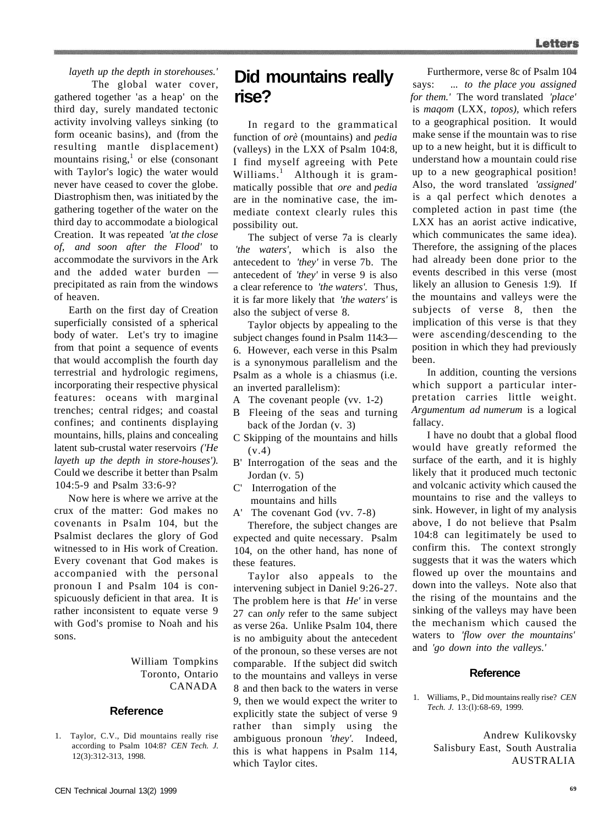*layeth up the depth in storehouses.'*  The global water cover, gathered together 'as a heap' on the third day, surely mandated tectonic activity involving valleys sinking (to form oceanic basins), and (from the resulting mantle displacement) mountains rising, $<sup>1</sup>$  or else (consonant</sup> with Taylor's logic) the water would never have ceased to cover the globe. Diastrophism then, was initiated by the gathering together of the water on the third day to accommodate a biological Creation. It was repeated *'at the close of, and soon after the Flood'* to accommodate the survivors in the Ark and the added water burden precipitated as rain from the windows of heaven.

Earth on the first day of Creation superficially consisted of a spherical body of water. Let's try to imagine from that point a sequence of events that would accomplish the fourth day terrestrial and hydrologic regimens, incorporating their respective physical features: oceans with marginal trenches; central ridges; and coastal confines; and continents displaying mountains, hills, plains and concealing latent sub-crustal water reservoirs *('He layeth up the depth in store-houses').*  Could we describe it better than Psalm 104:5-9 and Psalm 33:6-9?

Now here is where we arrive at the crux of the matter: God makes no covenants in Psalm 104, but the Psalmist declares the glory of God witnessed to in His work of Creation. Every covenant that God makes is accompanied with the personal pronoun I and Psalm 104 is conspicuously deficient in that area. It is rather inconsistent to equate verse 9 with God's promise to Noah and his sons.

> William Tompkins Toronto, Ontario CANADA

### **Reference**

1. Taylor, C.V., Did mountains really rise according to Psalm 104:8? *CEN Tech. J.*  12(3):312-313, 1998.

# **Did mountains really rise?**

In regard to the grammatical function of *orè* (mountains) and *pedia*  (valleys) in the LXX of Psalm 104:8, I find myself agreeing with Pete Williams.<sup>1</sup> Although it is grammatically possible that *ore* and *pedia*  are in the nominative case, the immediate context clearly rules this possibility out.

The subject of verse 7a is clearly *'the waters',* which is also the antecedent to *'they'* in verse 7b. The antecedent of *'they'* in verse 9 is also a clear reference to *'the waters'.* Thus, it is far more likely that *'the waters'* is also the subject of verse 8.

Taylor objects by appealing to the subject changes found in Psalm 114:3— 6. However, each verse in this Psalm is a synonymous parallelism and the Psalm as a whole is a chiasmus (i.e. an inverted parallelism):

- A The covenant people (vv. 1-2)
- B Fleeing of the seas and turning back of the Jordan (v. 3)
- C Skipping of the mountains and hills  $(v.4)$
- B' Interrogation of the seas and the Jordan (v. 5)
- C' Interrogation of the mountains and hills
- A' The covenant God (vv. 7-8)

Therefore, the subject changes are expected and quite necessary. Psalm 104, on the other hand, has none of these features.

Taylor also appeals to the intervening subject in Daniel 9:26-27. The problem here is that *He'* in verse 27 can *only* refer to the same subject as verse 26a. Unlike Psalm 104, there is no ambiguity about the antecedent of the pronoun, so these verses are not comparable. If the subject did switch to the mountains and valleys in verse 8 and then back to the waters in verse 9, then we would expect the writer to explicitly state the subject of verse 9 rather than simply using the ambiguous pronoun *'they'.* Indeed, this is what happens in Psalm 114, which Taylor cites.

Furthermore, verse 8c of Psalm 104 says: ... *to the place you assigned for them.'* The word translated *'place'*  is *maqom* (LXX, *topos),* which refers to a geographical position. It would make sense if the mountain was to rise up to a new height, but it is difficult to understand how a mountain could rise up to a new geographical position! Also, the word translated *'assigned'*  is a qal perfect which denotes a completed action in past time (the LXX has an aorist active indicative, which communicates the same idea). Therefore, the assigning of the places had already been done prior to the events described in this verse (most likely an allusion to Genesis 1:9). If the mountains and valleys were the subjects of verse 8, then the implication of this verse is that they were ascending/descending to the position in which they had previously been.

In addition, counting the versions which support a particular interpretation carries little weight. *Argumentum ad numerum* is a logical fallacy.

I have no doubt that a global flood would have greatly reformed the surface of the earth, and it is highly likely that it produced much tectonic and volcanic activity which caused the mountains to rise and the valleys to sink. However, in light of my analysis above, I do not believe that Psalm 104:8 can legitimately be used to confirm this. The context strongly suggests that it was the waters which flowed up over the mountains and down into the valleys. Note also that the rising of the mountains and the sinking of the valleys may have been the mechanism which caused the waters to *'flow over the mountains'*  and *'go down into the valleys.'* 

#### **Reference**

1. Williams, P., Did mountains really rise? *CEN Tech. J.* 13:(l):68-69, 1999.

> Andrew Kulikovsky Salisbury East, South Australia AUSTRALIA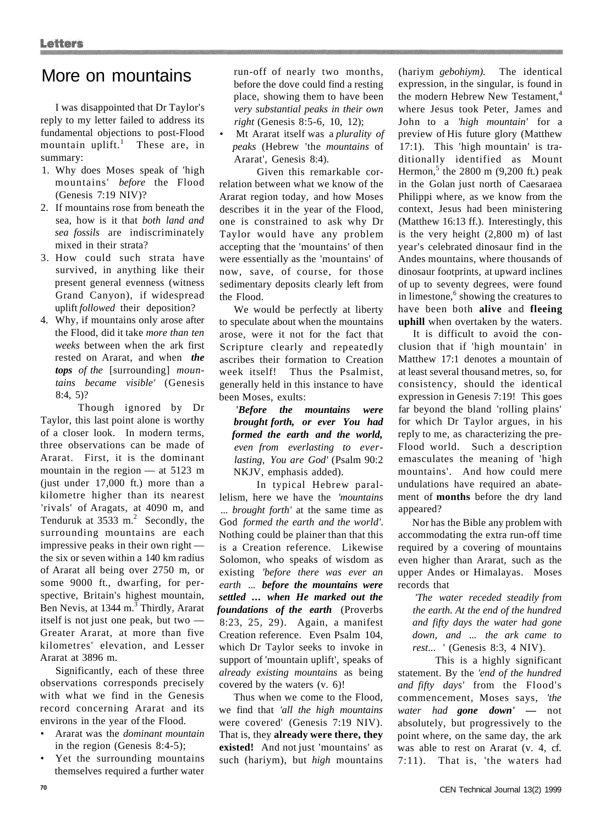## More on mountains

I was disappointed that Dr Taylor's reply to my letter failed to address its fundamental objections to post-Flood mountain uplift.<sup>1</sup> These are, in summary:

- 1. Why does Moses speak of 'high mountains' *before* the Flood (Genesis 7:19 NIV)?
- 2. If mountains rose from beneath the sea, how is it that *both land and sea fossils* are indiscriminately mixed in their strata?
- 3. How could such strata have survived, in anything like their present general evenness (witness Grand Canyon), if widespread uplift *followed* their deposition?
- 4. Why, if mountains only arose after the Flood, did it take *more than ten weeks* between when the ark first rested on Ararat, and when *the tops of the* [surrounding] *mountains became visible'* (Genesis 8:4, 5)?

Though ignored by Dr Taylor, this last point alone is worthy of a closer look. In modern terms, three observations can be made of Ararat. First, it is the dominant mountain in the region — at 5123 m (just under 17,000 ft.) more than a kilometre higher than its nearest 'rivals' of Aragats, at 4090 m, and Tenduruk at  $3533 \text{ m}^2$ . Secondly, the surrounding mountains are each impressive peaks in their own right the six or seven within a 140 km radius of Ararat all being over 2750 m, or some 9000 ft., dwarfing, for perspective, Britain's highest mountain, Ben Nevis, at 1344 m.<sup>3</sup> Thirdly, Ararat itself is not just one peak, but two — Greater Ararat, at more than five kilometres' elevation, and Lesser Ararat at 3896 m.

Significantly, each of these three observations corresponds precisely with what we find in the Genesis record concerning Ararat and its environs in the year of the Flood.

- Ararat was the *dominant mountain*  in the region (Genesis 8:4-5);
- Yet the surrounding mountains themselves required a further water

run-off of nearly two months, before the dove could find a resting place, showing them to have been *very substantial peaks in their own right* (Genesis 8:5-6, 10, 12);

• Mt Ararat itself was a *plurality of peaks* (Hebrew 'the *mountains* of Ararat', Genesis 8:4).

Given this remarkable correlation between what we know of the Ararat region today, and how Moses describes it in the year of the Flood, one is constrained to ask why Dr Taylor would have any problem accepting that the 'mountains' of then were essentially as the 'mountains' of now, save, of course, for those sedimentary deposits clearly left from the Flood.

We would be perfectly at liberty to speculate about when the mountains arose, were it not for the fact that Scripture clearly and repeatedly ascribes their formation to Creation week itself! Thus the Psalmist, generally held in this instance to have been Moses, exults:

*'Before the mountains were brought forth, or ever You had formed the earth and the world, even from everlasting to everlasting, You are God'* (Psalm 90:2 NKJV, emphasis added).

In typical Hebrew parallelism, here we have the *'mountains*  ... *brought forth'* at the same time as God *formed the earth and the world'.*  Nothing could be plainer than that this is a Creation reference. Likewise Solomon, who speaks of wisdom as existing *'before there was ever an earth* ... *before the mountains were settled* **...** *when He marked out the foundations of the earth* (Proverbs 8:23, 25, 29). Again, a manifest Creation reference. Even Psalm 104, which Dr Taylor seeks to invoke in support of 'mountain uplift', speaks of *already existing mountains* as being covered by the waters (v. 6)!

Thus when we come to the Flood, we find that *'all the high mountains*  were covered' (Genesis 7:19 NIV). That is, they **already were there, they existed!** And not just 'mountains' as such (hariym), but *high* mountains

(hariym *gebohiym).* The identical expression, in the singular, is found in the modern Hebrew New Testament,<sup>4</sup> where Jesus took Peter, James and John to a *'high mountain'* for a preview of His future glory (Matthew 17:1). This 'high mountain' is traditionally identified as Mount Hermon, $5$  the 2800 m (9,200 ft.) peak in the Golan just north of Caesaraea Philippi where, as we know from the context, Jesus had been ministering (Matthew 16:13 ff.). Interestingly, this is the very height (2,800 m) of last year's celebrated dinosaur find in the Andes mountains, where thousands of dinosaur footprints, at upward inclines of up to seventy degrees, were found in limestone,<sup>6</sup> showing the creatures to have been both **alive** and **fleeing uphill** when overtaken by the waters.

It is difficult to avoid the conclusion that if 'high mountain' in Matthew 17:1 denotes a mountain of at least several thousand metres, so, for consistency, should the identical expression in Genesis 7:19! This goes far beyond the bland 'rolling plains' for which Dr Taylor argues, in his reply to me, as characterizing the pre-Flood world. Such a description emasculates the meaning of 'high mountains'. And how could mere undulations have required an abatement of **months** before the dry land appeared?

Nor has the Bible any problem with accommodating the extra run-off time required by a covering of mountains even higher than Ararat, such as the upper Andes or Himalayas. Moses records that

*'The water receded steadily from the earth. At the end of the hundred and fifty days the water had gone down, and* ... *the ark came to rest*... ' (Genesis 8:3, 4 NIV).

This is a highly significant statement. By the *'end of the hundred and fifty days'* from the Flood's commencement, Moses says, *'the water had gone down'* **—** not absolutely, but progressively to the point where, on the same day, the ark was able to rest on Ararat (v. 4, cf. 7:11). That is, 'the waters had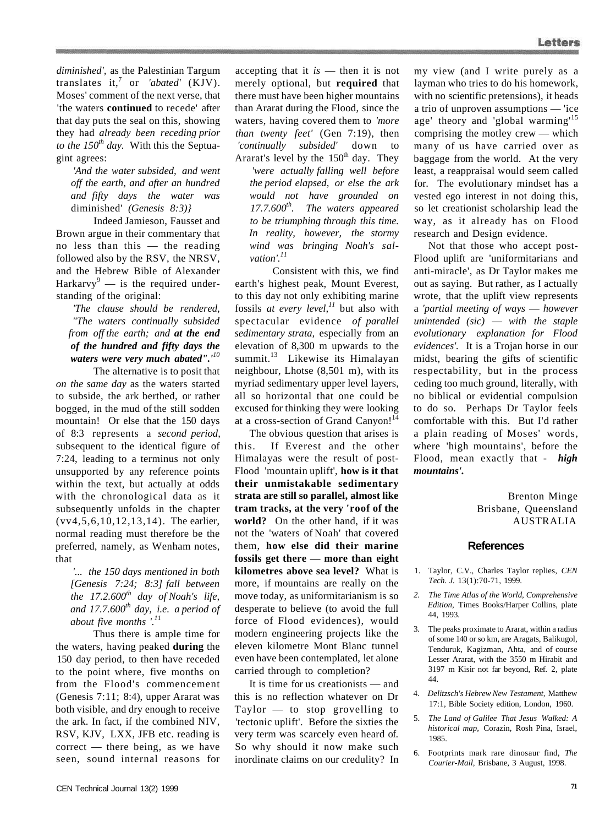*diminished',* as the Palestinian Targum translates it,<sup>7</sup> or *'abated'* (KJV). Moses' comment of the next verse, that 'the waters **continued** to recede' after that day puts the seal on this, showing they had *already been receding prior to the 150th day.* With this the Septuagint agrees:

*'And the water subsided, and went off the earth, and after an hundred and fifty days the water was*  diminished' *(Genesis 8:3)}* 

Indeed Jamieson, Fausset and Brown argue in their commentary that no less than this — the reading followed also by the RSV, the NRSV, and the Hebrew Bible of Alexander Harkarvy<sup>9</sup> — is the required understanding of the original:

*'The clause should be rendered, "The waters continually subsided from off the earth; and at the end of the hundred and fifty days the waters were very much abated".'<sup>10</sup>*

The alternative is to posit that *on the same day* as the waters started to subside, the ark berthed, or rather bogged, in the mud of the still sodden mountain! Or else that the 150 days of 8:3 represents a *second period,*  subsequent to the identical figure of 7:24, leading to a terminus not only unsupported by any reference points within the text, but actually at odds with the chronological data as it subsequently unfolds in the chapter (vv4,5,6,10,12,13,14). The earlier, normal reading must therefore be the preferred, namely, as Wenham notes, that

*'... the 150 days mentioned in both [Genesis 7:24; 8:3] fall between the 17.2.600th day of Noah's life, and 17.7.600th day, i.e. a period of about five months '.<sup>11</sup>*

Thus there is ample time for the waters, having peaked **during** the 150 day period, to then have receded to the point where, five months on from the Flood's commencement (Genesis 7:11; 8:4), upper Ararat was both visible, and dry enough to receive the ark. In fact, if the combined NIV, RSV, KJV, LXX, JFB etc. reading is correct — there being, as we have seen, sound internal reasons for accepting that it *is* — then it is not merely optional, but **required** that there must have been higher mountains than Ararat during the Flood, since the waters, having covered them to *'more than twenty feet'* (Gen 7:19), then *'continually subsided'* down to Ararat's level by the  $150<sup>th</sup>$  day. They *'were actually falling well before the period elapsed, or else the ark would not have grounded on 17.7.600th . The waters appeared to be triumphing through this time. In reality, however, the stormy wind was bringing Noah's salvation'.<sup>11</sup>*

Consistent with this, we find earth's highest peak, Mount Everest, to this day not only exhibiting marine fossils *at every level,<sup>11</sup>* but also with spectacular evidence *of parallel sedimentary strata,* especially from an elevation of 8,300 m upwards to the summit.<sup>13</sup> Likewise its Himalayan neighbour, Lhotse (8,501 m), with its myriad sedimentary upper level layers, all so horizontal that one could be excused for thinking they were looking at a cross-section of Grand Canyon!<sup>14</sup>

The obvious question that arises is this. If Everest and the other Himalayas were the result of post-Flood 'mountain uplift', **how is it that their unmistakable sedimentary strata are still so parallel, almost like tram tracks, at the very 'roof of the world?** On the other hand, if it was not the 'waters of Noah' that covered them, **how else did their marine fossils get there — more than eight kilometres above sea level?** What is more, if mountains are really on the move today, as uniformitarianism is so desperate to believe (to avoid the full force of Flood evidences), would modern engineering projects like the eleven kilometre Mont Blanc tunnel even have been contemplated, let alone carried through to completion?

It is time for us creationists — and this is no reflection whatever on Dr Taylor — to stop grovelling to 'tectonic uplift'. Before the sixties the very term was scarcely even heard of. So why should it now make such inordinate claims on our credulity? In

my view (and I write purely as a layman who tries to do his homework, with no scientific pretensions), it heads a trio of unproven assumptions — 'ice age' theory and 'global warming'<sup>15</sup> comprising the motley crew — which many of us have carried over as baggage from the world. At the very least, a reappraisal would seem called for. The evolutionary mindset has a vested ego interest in not doing this, so let creationist scholarship lead the way, as it already has on Flood research and Design evidence.

Not that those who accept post-Flood uplift are 'uniformitarians and anti-miracle', as Dr Taylor makes me out as saying. But rather, as I actually wrote, that the uplift view represents a *'partial meeting of ways* — *however unintended (sic)* — *with the staple evolutionary explanation for Flood evidences'.* It is a Trojan horse in our midst, bearing the gifts of scientific respectability, but in the process ceding too much ground, literally, with no biblical or evidential compulsion to do so. Perhaps Dr Taylor feels comfortable with this. But I'd rather a plain reading of Moses' words, where 'high mountains', before the Flood, mean exactly that - *high mountains'.* 

> Brenton Minge Brisbane, Queensland AUSTRALIA

#### **References**

- 1. Taylor, C.V., Charles Taylor replies, *CEN Tech. J.* 13(1):70-71, 1999.
- *2. The Time Atlas of the World, Comprehensive Edition,* Times Books/Harper Collins, plate 44, 1993.
- 3. The peaks proximate to Ararat, within a radius of some 140 or so km, are Aragats, Balikugol, Tenduruk, Kagizman, Ahta, and of course Lesser Ararat, with the 3550 m Hirabit and 3197 m Kisir not far beyond, Ref. 2, plate 44.
- 4. *Delitzsch's Hebrew New Testament,* Matthew 17:1, Bible Society edition, London, 1960.
- 5. *The Land of Galilee That Jesus Walked: A historical map,* Corazin, Rosh Pina, Israel, 1985.
- 6. Footprints mark rare dinosaur find, *The Courier-Mail,* Brisbane, 3 August, 1998.